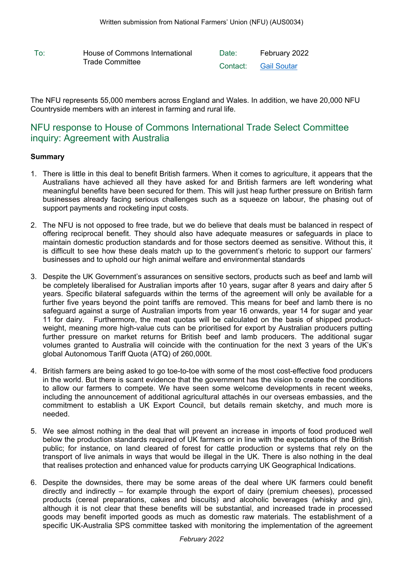To: House of Commons International Date: February 2022 Trade Committee **Contact:** [Gail](mailto:Gail%20Soutar@nfu.org.uk) [Soutar](mailto:Gail%20Soutar@nfu.org.uk)

The NFU represents 55,000 members across England and Wales. In addition, we have 20,000 NFU Countryside members with an interest in farming and rural life.

# NFU response to House of Commons International Trade Select Committee inquiry: Agreement with Australia

## **Summary**

- 1. There is little in this deal to benefit British farmers. When it comes to agriculture, it appears that the Australians have achieved all they have asked for and British farmers are left wondering what meaningful benefits have been secured for them. This will just heap further pressure on British farm businesses already facing serious challenges such as a squeeze on labour, the phasing out of support payments and rocketing input costs.
- 2. The NFU is not opposed to free trade, but we do believe that deals must be balanced in respect of offering reciprocal benefit. They should also have adequate measures or safeguards in place to maintain domestic production standards and for those sectors deemed as sensitive. Without this, it is difficult to see how these deals match up to the government's rhetoric to support our farmers' businesses and to uphold our high animal welfare and environmental standards
- 3. Despite the UK Government's assurances on sensitive sectors, products such as beef and lamb will be completely liberalised for Australian imports after 10 years, sugar after 8 years and dairy after 5 years. Specific bilateral safeguards within the terms of the agreement will only be available for a further five years beyond the point tariffs are removed. This means for beef and lamb there is no safeguard against a surge of Australian imports from year 16 onwards, year 14 for sugar and year 11 for dairy. Furthermore, the meat quotas will be calculated on the basis of shipped productweight, meaning more high-value cuts can be prioritised for export by Australian producers putting further pressure on market returns for British beef and lamb producers. The additional sugar volumes granted to Australia will coincide with the continuation for the next 3 years of the UK's global Autonomous Tariff Quota (ATQ) of 260,000t.
- 4. British farmers are being asked to go toe-to-toe with some of the most cost-effective food producers in the world. But there is scant evidence that the government has the vision to create the conditions to allow our farmers to compete. We have seen some welcome developments in recent weeks, including the announcement of additional agricultural attachés in our overseas embassies, and the commitment to establish a UK Export Council, but details remain sketchy, and much more is needed.
- 5. We see almost nothing in the deal that will prevent an increase in imports of food produced well below the production standards required of UK farmers or in line with the expectations of the British public; for instance, on land cleared of forest for cattle production or systems that rely on the transport of live animals in ways that would be illegal in the UK. There is also nothing in the deal that realises protection and enhanced value for products carrying UK Geographical Indications.
- 6. Despite the downsides, there may be some areas of the deal where UK farmers could benefit directly and indirectly – for example through the export of dairy (premium cheeses), processed products (cereal preparations, cakes and biscuits) and alcoholic beverages (whisky and gin), although it is not clear that these benefits will be substantial, and increased trade in processed goods may benefit imported goods as much as domestic raw materials. The establishment of a specific UK-Australia SPS committee tasked with monitoring the implementation of the agreement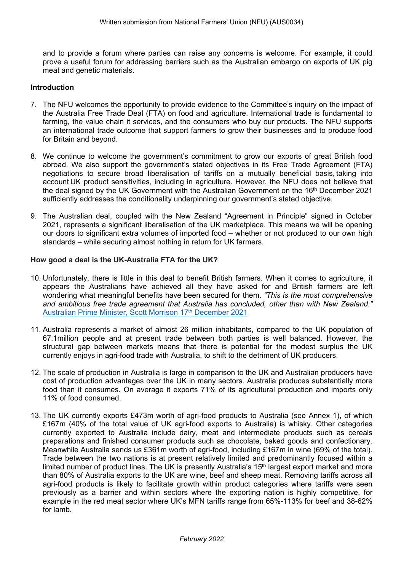and to provide a forum where parties can raise any concerns is welcome. For example, it could prove a useful forum for addressing barriers such as the Australian embargo on exports of UK pig meat and genetic materials.

#### **Introduction**

- 7. The NFU welcomes the opportunity to provide evidence to the Committee's inquiry on the impact of the Australia Free Trade Deal (FTA) on food and agriculture. International trade is fundamental to farming, the value chain it services, and the consumers who buy our products. The NFU supports an international trade outcome that support farmers to grow their businesses and to produce food for Britain and beyond.
- 8. We continue to welcome the government's commitment to grow our exports of great British food abroad. We also support the government's stated objectives in its Free Trade Agreement (FTA) negotiations to secure broad liberalisation of tariffs on a mutually beneficial basis, taking into account UK product sensitivities, including in agriculture. However, the NFU does not believe that the deal signed by the UK Government with the Australian Government on the 16<sup>th</sup> December 2021 sufficiently addresses the conditionality underpinning our government's stated objective.
- 9. The Australian deal, coupled with the New Zealand "Agreement in Principle" signed in October 2021, represents a significant liberalisation of the UK marketplace. This means we will be opening our doors to significant extra volumes of imported food – whether or not produced to our own high standards – while securing almost nothing in return for UK farmers.

## **How good a deal is the UK-Australia FTA for the UK?**

- 10. Unfortunately, there is little in this deal to benefit British farmers. When it comes to agriculture, it appears the Australians have achieved all they have asked for and British farmers are left wondering what meaningful benefits have been secured for them. *"This is the most comprehensive and ambi[ti](https://www.pm.gov.au/media/new-era-free-trade-uk)ous free trade agreement that Australia has concluded, other than with New Zealand."* [Australian](https://www.pm.gov.au/media/new-era-free-trade-uk) [Prime](https://www.pm.gov.au/media/new-era-free-trade-uk) [Minister,](https://www.pm.gov.au/media/new-era-free-trade-uk) [Scott](https://www.pm.gov.au/media/new-era-free-trade-uk) [Morrison](https://www.pm.gov.au/media/new-era-free-trade-uk) [17](https://www.pm.gov.au/media/new-era-free-trade-uk)<sup>[th](https://www.pm.gov.au/media/new-era-free-trade-uk)</sup> [December](https://www.pm.gov.au/media/new-era-free-trade-uk) [2021](https://www.pm.gov.au/media/new-era-free-trade-uk)
- 11. Australia represents a market of almost 26 million inhabitants, compared to the UK population of 67.1million people and at present trade between both parties is well balanced. However, the structural gap between markets means that there is potential for the modest surplus the UK currently enjoys in agri-food trade with Australia, to shift to the detriment of UK producers.
- 12. The scale of production in Australia is large in comparison to the UK and Australian producers have cost of production advantages over the UK in many sectors. Australia produces substantially more food than it consumes. On average it exports 71% of its agricultural production and imports only 11% of food consumed.
- 13. The UK currently exports £473m worth of agri-food products to Australia (see Annex 1), of which £167m (40% of the total value of UK agri-food exports to Australia) is whisky. Other categories currently exported to Australia include dairy, meat and intermediate products such as cereals preparations and finished consumer products such as chocolate, baked goods and confectionary. Meanwhile Australia sends us £361m worth of agri-food, including £167m in wine (69% of the total). Trade between the two nations is at present relatively limited and predominantly focused within a limited number of product lines. The UK is presently Australia's  $15<sup>th</sup>$  largest export market and more than 80% of Australia exports to the UK are wine, beef and sheep meat. Removing tariffs across all agri-food products is likely to facilitate growth within product categories where tariffs were seen previously as a barrier and within sectors where the exporting nation is highly competitive, for example in the red meat sector where UK's MFN tariffs range from 65%-113% for beef and 38-62% for lamb.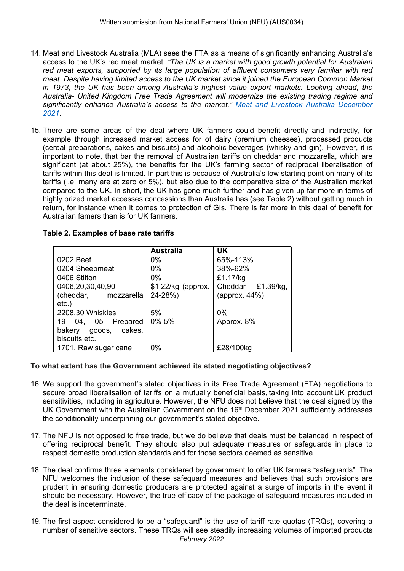- 14. Meat and Livestock Australia (MLA) sees the FTA as a means of significantly enhancing Australia's access to the UK's red meat market. *"The UK is a market with good growth potential for Australian red meat exports, supported by its large population of affluent consumers very familiar with red meat. Despite having limited access to the UK market since it joined the European Common Market in 1973, the UK has been among Australia's highest value export markets. Looking ahead, the Australia- United Kingdom Free Trade Agreement will modernize the existing trading regime and significantly enhance Australia's access to the market." [Meat](https://www.mla.com.au/globalassets/mla-corporate/prices--markets/documents/os-markets/red-meat-market-snapshots/2021/2021-uk-market-snapshot-red-meat_r1_201221_distribution-003.pdf) [and](https://www.mla.com.au/globalassets/mla-corporate/prices--markets/documents/os-markets/red-meat-market-snapshots/2021/2021-uk-market-snapshot-red-meat_r1_201221_distribution-003.pdf) [Livestock](https://www.mla.com.au/globalassets/mla-corporate/prices--markets/documents/os-markets/red-meat-market-snapshots/2021/2021-uk-market-snapshot-red-meat_r1_201221_distribution-003.pdf) [Australia](https://www.mla.com.au/globalassets/mla-corporate/prices--markets/documents/os-markets/red-meat-market-snapshots/2021/2021-uk-market-snapshot-red-meat_r1_201221_distribution-003.pdf) [December](https://www.mla.com.au/globalassets/mla-corporate/prices--markets/documents/os-markets/red-meat-market-snapshots/2021/2021-uk-market-snapshot-red-meat_r1_201221_distribution-003.pdf) [2021.](https://www.mla.com.au/globalassets/mla-corporate/prices--markets/documents/os-markets/red-meat-market-snapshots/2021/2021-uk-market-snapshot-red-meat_r1_201221_distribution-003.pdf)*
- 15. There are some areas of the deal where UK farmers could benefit directly and indirectly, for example through increased market access for of dairy (premium cheeses), processed products (cereal preparations, cakes and biscuits) and alcoholic beverages (whisky and gin). However, it is important to note, that bar the removal of Australian tariffs on cheddar and mozzarella, which are significant (at about 25%), the benefits for the UK's farming sector of reciprocal liberalisation of tariffs within this deal is limited. In part this is because of Australia's low starting point on many of its tariffs (i.e. many are at zero or 5%), but also due to the comparative size of the Australian market compared to the UK. In short, the UK has gone much further and has given up far more in terms of highly prized market accesses concessions than Australia has (see Table 2) without getting much in return, for instance when it comes to protection of GIs. There is far more in this deal of benefit for Australian famers than is for UK farmers.

|                      | <b>Australia</b>   | <b>UK</b>         |  |  |
|----------------------|--------------------|-------------------|--|--|
| 0202 Beef            | 0%                 | 65%-113%          |  |  |
| 0204 Sheepmeat       | 0%                 | 38%-62%           |  |  |
| 0406 Stilton         | $0\%$              | £1.17/kg          |  |  |
| 0406,20,30,40,90     | \$1.22/kg (approx. | Cheddar £1.39/kg, |  |  |
| (cheddar, mozzarella | 24-28%)            | (approx. 44%)     |  |  |
| $etc.$ )             |                    |                   |  |  |
| 2208,30 Whiskies     | 5%                 | 0%                |  |  |
| 19 04, 05 Prepared   | $0\% - 5\%$        | Approx. 8%        |  |  |
| bakery goods, cakes, |                    |                   |  |  |
| biscuits etc.        |                    |                   |  |  |
| 1701, Raw sugar cane | $0\%$              | £28/100kg         |  |  |

#### **Table 2. Examples of base rate tariffs**

#### **To what extent has the Government achieved its stated negotiating objectives?**

- 16. We support the government's stated objectives in its Free Trade Agreement (FTA) negotiations to secure broad liberalisation of tariffs on a mutually beneficial basis, taking into account UK product sensitivities, including in agriculture. However, the NFU does not believe that the deal signed by the UK Government with the Australian Government on the 16<sup>th</sup> December 2021 sufficiently addresses the conditionality underpinning our government's stated objective.
- 17. The NFU is not opposed to free trade, but we do believe that deals must be balanced in respect of offering reciprocal benefit. They should also put adequate measures or safeguards in place to respect domestic production standards and for those sectors deemed as sensitive.
- 18. The deal confirms three elements considered by government to offer UK farmers "safeguards". The NFU welcomes the inclusion of these safeguard measures and believes that such provisions are prudent in ensuring domestic producers are protected against a surge of imports in the event it should be necessary. However, the true efficacy of the package of safeguard measures included in the deal is indeterminate.
- 19. The first aspect considered to be a "safeguard" is the use of tariff rate quotas (TRQs), covering a number of sensitive sectors. These TRQs will see steadily increasing volumes of imported products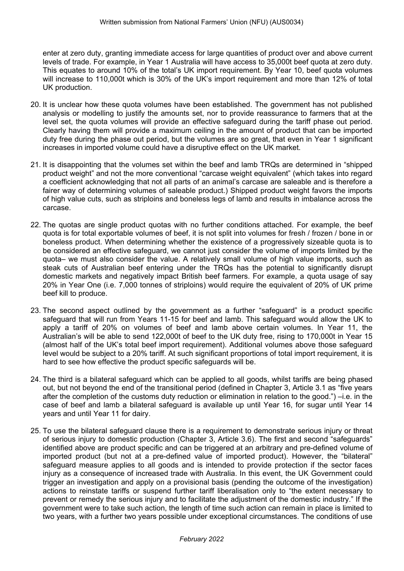enter at zero duty, granting immediate access for large quantities of product over and above current levels of trade. For example, in Year 1 Australia will have access to 35,000t beef quota at zero duty. This equates to around 10% of the total's UK import requirement. By Year 10, beef quota volumes will increase to 110,000t which is 30% of the UK's import requirement and more than 12% of total UK production.

- 20. It is unclear how these quota volumes have been established. The government has not published analysis or modelling to justify the amounts set, nor to provide reassurance to farmers that at the level set, the quota volumes will provide an effective safeguard during the tariff phase out period. Clearly having them will provide a maximum ceiling in the amount of product that can be imported duty free during the phase out period, but the volumes are so great, that even in Year 1 significant increases in imported volume could have a disruptive effect on the UK market.
- 21. It is disappointing that the volumes set within the beef and lamb TRQs are determined in "shipped product weight" and not the more conventional "carcase weight equivalent" (which takes into regard a coefficient acknowledging that not all parts of an animal's carcase are saleable and is therefore a fairer way of determining volumes of saleable product.) Shipped product weight favors the imports of high value cuts, such as striploins and boneless legs of lamb and results in imbalance across the carcase.
- 22. The quotas are single product quotas with no further conditions attached. For example, the beef quota is for total exportable volumes of beef, it is not split into volumes for fresh / frozen / bone in or boneless product. When determining whether the existence of a progressively sizeable quota is to be considered an effective safeguard, we cannot just consider the volume of imports limited by the quota– we must also consider the value. A relatively small volume of high value imports, such as steak cuts of Australian beef entering under the TRQs has the potential to significantly disrupt domestic markets and negatively impact British beef farmers. For example, a quota usage of say 20% in Year One (i.e. 7,000 tonnes of striploins) would require the equivalent of 20% of UK prime beef kill to produce.
- 23. The second aspect outlined by the government as a further "safeguard" is a product specific safeguard that will run from Years 11-15 for beef and lamb. This safeguard would allow the UK to apply a tariff of 20% on volumes of beef and lamb above certain volumes. In Year 11, the Australian's will be able to send 122,000t of beef to the UK duty free, rising to 170,000t in Year 15 (almost half of the UK's total beef import requirement). Additional volumes above those safeguard level would be subject to a 20% tariff. At such significant proportions of total import requirement, it is hard to see how effective the product specific safeguards will be.
- 24. The third is a bilateral safeguard which can be applied to all goods, whilst tariffs are being phased out, but not beyond the end of the transitional period (defined in Chapter 3, Article 3.1 as "five years after the completion of the customs duty reduction or elimination in relation to the good.") –i.e. in the case of beef and lamb a bilateral safeguard is available up until Year 16, for sugar until Year 14 years and until Year 11 for dairy.
- 25. To use the bilateral safeguard clause there is a requirement to demonstrate serious injury or threat of serious injury to domestic production (Chapter 3, Article 3.6). The first and second "safeguards" identified above are product specific and can be triggered at an arbitrary and pre-defined volume of imported product (but not at a pre-defined value of imported product). However, the "bilateral" safeguard measure applies to all goods and is intended to provide protection if the sector faces injury as a consequence of increased trade with Australia. In this event, the UK Government could trigger an investigation and apply on a provisional basis (pending the outcome of the investigation) actions to reinstate tariffs or suspend further tariff liberalisation only to "the extent necessary to prevent or remedy the serious injury and to facilitate the adjustment of the domestic industry." If the government were to take such action, the length of time such action can remain in place is limited to two years, with a further two years possible under exceptional circumstances. The conditions of use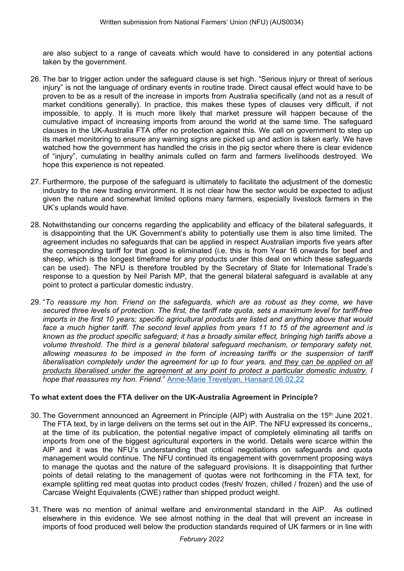are also subject to a range of caveats which would have to considered in any potential actions taken by the government.

- 26. The bar to trigger action under the safeguard clause is set high. "Serious injury or threat of serious injury" is not the language of ordinary events in routine trade. Direct causal effect would have to be proven to be as a result of the increase in imports from Australia specifically (and not as a result of market conditions generally). In practice, this makes these types of clauses very difficult, if not impossible, to apply. It is much more likely that market pressure will happen because of the cumulative impact of increasing imports from around the world at the same time. The safeguard clauses in the UK-Australia FTA offer no protection against this. We call on government to step up its market monitoring to ensure any warning signs are picked up and action is taken early. We have watched how the government has handled the crisis in the pig sector where there is clear evidence of "injury", cumulating in healthy animals culled on farm and farmers livelihoods destroyed. We hope this experience is not repeated.
- 27. Furthermore, the purpose of the safeguard is ultimately to facilitate the adjustment of the domestic industry to the new trading environment. It is not clear how the sector would be expected to adjust given the nature and somewhat limited options many farmers, especially livestock farmers in the UK's uplands would have.
- 28. Notwithstanding our concerns regarding the applicability and efficacy of the bilateral safeguards, it is disappointing that the UK Government's ability to potentially use them is also time limited. The agreement includes no safeguards that can be applied in respect Australian imports five years after the corresponding tariff for that good is eliminated (i.e. this is from Year 16 onwards for beef and sheep, which is the longest timeframe for any products under this deal on which these safeguards can be used). The NFU is therefore troubled by the Secretary of State for International Trade's response to a question by Neil Parish MP, that the general bilateral safeguard is available at any point to protect a particular domestic industry.
- 29. "*To reassure my hon. Friend on the safeguards, which are as robust as they come, we have* secured three levels of protection. The first, the tariff rate quota, sets a maximum level for tariff-free *imports in the first 10 years; specific agricultural products are listed and anything above that would* face a much higher tariff. The second level applies from years 11 to 15 of the agreement and is *known as the product specific safeguard; it has a broadly similar effect, bringing high tariffs above a volume threshold. The third is a general bilateral safeguard mechanism, or temporary safety net, allowing measures to be imposed in the form of increasing tariffs or the suspension of tariff liberalisation completely under the agreement for up to four years, and they can be applied on all products liberalised under the agreement at any point to protect a particular domestic industry. I hope that reassures my hon. Friend.*" [Anne-Marie](https://hansard.parliament.uk/commons/2022-01-05/debates/0D922D6F-9A97-455D-90DE-275AA45D1AEB/UK-AustraliaFreeTradeAgreement) [Trevelyan,](https://hansard.parliament.uk/commons/2022-01-05/debates/0D922D6F-9A97-455D-90DE-275AA45D1AEB/UK-AustraliaFreeTradeAgreement) [Hansard](https://hansard.parliament.uk/commons/2022-01-05/debates/0D922D6F-9A97-455D-90DE-275AA45D1AEB/UK-AustraliaFreeTradeAgreement) [06.02.22](https://hansard.parliament.uk/commons/2022-01-05/debates/0D922D6F-9A97-455D-90DE-275AA45D1AEB/UK-AustraliaFreeTradeAgreement)

#### **To what extent does the FTA deliver on the UK-Australia Agreement in Principle?**

- 30. The Government announced an Agreement in Principle (AIP) with Australia on the 15<sup>th</sup> June 2021. The FTA text, by in large delivers on the terms set out in the AIP. The NFU expressed its concerns,, at the time of its publication, the potential negative impact of completely eliminating all tariffs on imports from one of the biggest agricultural exporters in the world. Details were scarce within the AIP and it was the NFU's understanding that critical negotiations on safeguards and quota management would continue. The NFU continued its engagement with government proposing ways to manage the quotas and the nature of the safeguard provisions. It is disappointing that further points of detail relating to the management of quotas were not forthcoming in the FTA text, for example splitting red meat quotas into product codes (fresh/ frozen, chilled / frozen) and the use of Carcase Weight Equivalents (CWE) rather than shipped product weight.
- 31. There was no mention of animal welfare and environmental standard in the AIP. As outlined elsewhere in this evidence. We see almost nothing in the deal that will prevent an increase in imports of food produced well below the production standards required of UK farmers or in line with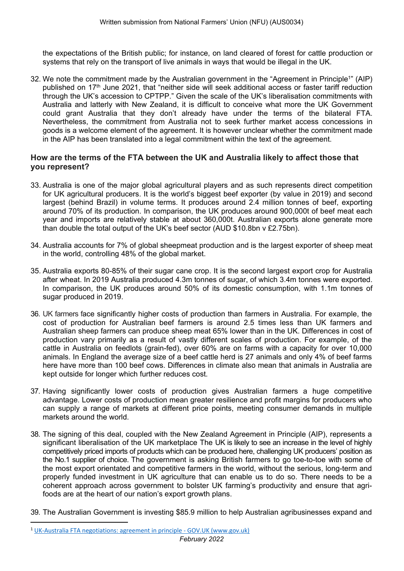the expectations of the British public; for instance, on land cleared of forest for cattle production or systems that rely on the transport of live animals in ways that would be illegal in the UK.

32. We note the commitment made by the Australian government in the "Agreement in Principle<sup>1</sup>" (AIP) published on 17<sup>th</sup> June 2021, that "neither side will seek additional access or faster tariff reduction through the UK's accession to CPTPP." Given the scale of the UK's liberalisation commitments with Australia and latterly with New Zealand, it is difficult to conceive what more the UK Government could grant Australia that they don't already have under the terms of the bilateral FTA. Nevertheless, the commitment from Australia not to seek further market access concessions in goods is a welcome element of the agreement. It is however unclear whether the commitment made in the AIP has been translated into a legal commitment within the text of the agreement.

# **How are the terms of the FTA between the UK and Australia likely to affect those that you represent?**

- 33. Australia is one of the major global agricultural players and as such represents direct competition for UK agricultural producers. It is the world's biggest beef exporter (by value in 2019) and second largest (behind Brazil) in volume terms. It produces around 2.4 million tonnes of beef, exporting around 70% of its production. In comparison, the UK produces around 900,000t of beef meat each year and imports are relatively stable at about 360,000t. Australian exports alone generate more than double the total output of the UK's beef sector (AUD \$10.8bn v £2.75bn).
- 34. Australia accounts for 7% of global sheepmeat production and is the largest exporter of sheep meat in the world, controlling 48% of the global market.
- 35. Australia exports 80-85% of their sugar cane crop. It is the second largest export crop for Australia after wheat. In 2019 Australia produced 4.3m tonnes of sugar, of which 3.4m tonnes were exported. In comparison, the UK produces around 50% of its domestic consumption, with 1.1m tonnes of sugar produced in 2019.
- 36. UK farmers face significantly higher costs of production than farmers in Australia. For example, the cost of production for Australian beef farmers is around 2.5 times less than UK farmers and Australian sheep farmers can produce sheep meat 65% lower than in the UK. Differences in cost of production vary primarily as a result of vastly different scales of production. For example, of the cattle in Australia on feedlots (grain-fed), over 60% are on farms with a capacity for over 10,000 animals. In England the average size of a beef cattle herd is 27 animals and only 4% of beef farms here have more than 100 beef cows. Differences in climate also mean that animals in Australia are kept outside for longer which further reduces cost.
- 37. Having significantly lower costs of production gives Australian farmers a huge competitive advantage. Lower costs of production mean greater resilience and profit margins for producers who can supply a range of markets at different price points, meeting consumer demands in multiple markets around the world.
- 38. The signing of this deal, coupled with the New Zealand Agreement in Principle (AIP), represents a significant liberalisation of the UK marketplace The UK is likely to see an increase in the level of highly competitively priced imports of products which can be produced here, challenging UK producers' position as the No.1 supplier of choice. The government is asking British farmers to go toe-to-toe with some of the most export orientated and competitive farmers in the world, without the serious, long-term and properly funded investment in UK agriculture that can enable us to do so. There needs to be a coherent approach across government to bolster UK farming's productivity and ensure that agrifoods are at the heart of our nation's export growth plans.
- 39. The Australian Government is investing \$85.9 million to help Australian agribusinesses expand and

<sup>&</sup>lt;sup>1</sup> [UK-Australia](https://www.gov.uk/government/publications/uk-australia-free-trade-agreement-negotiations-agreement-in-principle/uk-australia-fta-negotiations-agreement-in-principle) [FTA](https://www.gov.uk/government/publications/uk-australia-free-trade-agreement-negotiations-agreement-in-principle/uk-australia-fta-negotiations-agreement-in-principle) [negotiations:](https://www.gov.uk/government/publications/uk-australia-free-trade-agreement-negotiations-agreement-in-principle/uk-australia-fta-negotiations-agreement-in-principle) [agreement](https://www.gov.uk/government/publications/uk-australia-free-trade-agreement-negotiations-agreement-in-principle/uk-australia-fta-negotiations-agreement-in-principle) [in](https://www.gov.uk/government/publications/uk-australia-free-trade-agreement-negotiations-agreement-in-principle/uk-australia-fta-negotiations-agreement-in-principle) [principle](https://www.gov.uk/government/publications/uk-australia-free-trade-agreement-negotiations-agreement-in-principle/uk-australia-fta-negotiations-agreement-in-principle) [-](https://www.gov.uk/government/publications/uk-australia-free-trade-agreement-negotiations-agreement-in-principle/uk-australia-fta-negotiations-agreement-in-principle) [GOV.UK](https://www.gov.uk/government/publications/uk-australia-free-trade-agreement-negotiations-agreement-in-principle/uk-australia-fta-negotiations-agreement-in-principle) [\(www.gov.uk\)](https://www.gov.uk/government/publications/uk-australia-free-trade-agreement-negotiations-agreement-in-principle/uk-australia-fta-negotiations-agreement-in-principle)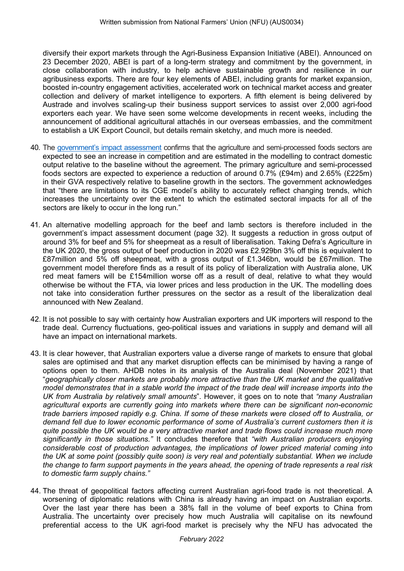diversify their export markets through the Agri-Business Expansion Initiative (ABEI). Announced on 23 December 2020, ABEI is part of a long-term strategy and commitment by the government, in close collaboration with industry, to help achieve sustainable growth and resilience in our agribusiness exports. There are four key elements of ABEI, including grants for market expansion, boosted in-country engagement activities, accelerated work on technical market access and greater collection and delivery of market intelligence to exporters. A fifth element is being delivered by Austrade and involves scaling-up their business support services to assist over 2,000 agri-food exporters each year. We have seen some welcome developments in recent weeks, including the announcement of additional agricultural attachés in our overseas embassies, and the commitment to establish a UK Export Council, but details remain sketchy, and much more is needed.

- 40. The government['s](https://assets.publishing.service.gov.uk/government/uploads/system/uploads/attachment_data/file/1041629/impact-assessment-of-the-free-trade-agreement-between-the-united-kingdom-of-great-britain-and-northern-ireland-and-australia.pdf) impac[t](https://assets.publishing.service.gov.uk/government/uploads/system/uploads/attachment_data/file/1041629/impact-assessment-of-the-free-trade-agreement-between-the-united-kingdom-of-great-britain-and-northern-ireland-and-australia.pdf) assessment confirms that the agriculture and semi-processed foods sectors are expected to see an increase in competition and are estimated in the modelling to contract domestic output relative to the baseline without the agreement. The primary agriculture and semi-processed foods sectors are expected to experience a reduction of around 0.7% (£94m) and 2.65% (£225m) in their GVA respectively relative to baseline growth in the sectors. The government acknowledges that "there are limitations to its CGE model's ability to accurately reflect changing trends, which increases the uncertainty over the extent to which the estimated sectoral impacts for all of the sectors are likely to occur in the long run."
- 41. An alternative modelling approach for the beef and lamb sectors is therefore included in the government's impact assessment document (page 32). It suggests a reduction in gross output of around 3% for beef and 5% for sheepmeat as a result of liberalisation. Taking Defra's Agriculture in the UK 2020, the gross output of beef production in 2020 was £2.929bn 3% off this is equivalent to £87million and 5% off sheepmeat, with a gross output of £1.346bn, would be £67million. The government model therefore finds as a result of its policy of liberalization with Australia alone, UK red meat famers will be £154million worse off as a result of deal, relative to what they would otherwise be without the FTA, via lower prices and less production in the UK. The modelling does not take into consideration further pressures on the sector as a result of the liberalization deal announced with New Zealand.
- 42. It is not possible to say with certainty how Australian exporters and UK importers will respond to the trade deal. Currency fluctuations, geo-political issues and variations in supply and demand will all have an impact on international markets.
- 43. It is clear however, that Australian exporters value a diverse range of markets to ensure that global sales are optimised and that any market disruption effects can be minimised by having a range of options open to them. AHDB notes in its analysis of the Australia deal (November 2021) that "*geographically closer markets are probably more attractive than the UK market and the qualitative* model demonstrates that in a stable world the impact of the trade deal will increase imports into the *UK from Australia by relatively small amounts*". However, it goes on to note that *"many Australian agricultural exports are currently going into markets where there can be significant non-economic trade barriers imposed rapidly e.g. China. If some of these markets were closed off to Australia, or demand fell due to lower economic performance of some of Australia's current customers then it is quite possible the UK would be a very attractive market and trade flows could increase much more significantly in those situations."* It concludes therefore that *"with Australian producers enjoying considerable cost of production advantages, the implications of lower priced material coming into the UK at some point (possibly quite soon) is very real and potentially substantial. When we include* the change to farm support payments in the years ahead, the opening of trade represents a real risk *to domestic farm supply chains."*
- 44. The threat of geopolitical factors affecting current Australian agri-food trade is not theoretical. A worsening of diplomatic relations with China is already having an impact on Australian exports. Over the last year there has been a 38% fall in the volume of beef exports to China from Australia. The uncertainty over precisely how much Australia will capitalise on its newfound preferential access to the UK agri-food market is precisely why the NFU has advocated the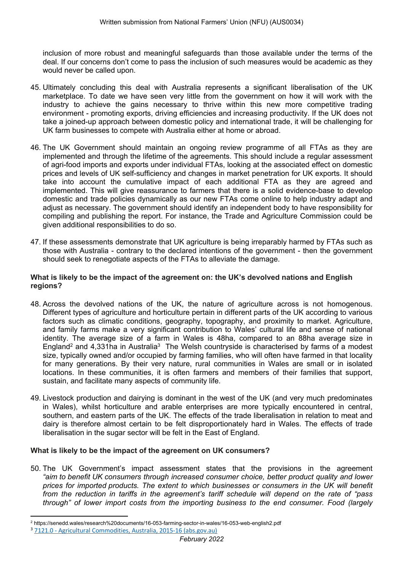inclusion of more robust and meaningful safeguards than those available under the terms of the deal. If our concerns don't come to pass the inclusion of such measures would be academic as they would never be called upon.

- 45. Ultimately concluding this deal with Australia represents a significant liberalisation of the UK marketplace. To date we have seen very little from the government on how it will work with the industry to achieve the gains necessary to thrive within this new more competitive trading environment - promoting exports, driving efficiencies and increasing productivity. If the UK does not take a joined-up approach between domestic policy and international trade, it will be challenging for UK farm businesses to compete with Australia either at home or abroad.
- 46. The UK Government should maintain an ongoing review programme of all FTAs as they are implemented and through the lifetime of the agreements. This should include a regular assessment of agri-food imports and exports under individual FTAs, looking at the associated effect on domestic prices and levels of UK self-sufficiency and changes in market penetration for UK exports. It should take into account the cumulative impact of each additional FTA as they are agreed and implemented. This will give reassurance to farmers that there is a solid evidence-base to develop domestic and trade policies dynamically as our new FTAs come online to help industry adapt and adjust as necessary. The government should identify an independent body to have responsibility for compiling and publishing the report. For instance, the Trade and Agriculture Commission could be given additional responsibilities to do so.
- 47. If these assessments demonstrate that UK agriculture is being irreparably harmed by FTAs such as those with Australia - contrary to the declared intentions of the government - then the government should seek to renegotiate aspects of the FTAs to alleviate the damage.

#### **What is likely to be the impact of the agreement on: the UK's devolved nations and English regions?**

- 48. Across the devolved nations of the UK, the nature of agriculture across is not homogenous. Different types of agriculture and horticulture pertain in different parts of the UK according to various factors such as climatic conditions, geography, topography, and proximity to market. Agriculture, and family farms make a very significant contribution to Wales' cultural life and sense of national identity. The average size of a farm in Wales is 48ha, compared to an 88ha average size in England<sup>2</sup> and 4,331ha in Australia<sup>3</sup> The Welsh countryside is characterised by farms of a modest size, typically owned and/or occupied by farming families, who will often have farmed in that locality for many generations. By their very nature, rural communities in Wales are small or in isolated locations. In these communities, it is often farmers and members of their families that support, sustain, and facilitate many aspects of community life.
- 49. Livestock production and dairying is dominant in the west of the UK (and very much predominates in Wales), whilst horticulture and arable enterprises are more typically encountered in central, southern, and eastern parts of the UK. The effects of the trade liberalisation in relation to meat and dairy is therefore almost certain to be felt disproportionately hard in Wales. The effects of trade liberalisation in the sugar sector will be felt in the East of England.

#### **What is likely to be the impact of the agreement on UK consumers?**

50. The UK Government's impact assessment states that the provisions in the agreement *"aim to benefit UK consumers through increased consumer choice, better product quality and lower prices for imported products. The extent to which businesses or consumers in the UK will benefit from the reduction in tariffs in the agreement's tariff schedule will depend on the rate of "pass through" of lower import costs from the importing business to the end consumer. Food (largely*

<sup>2</sup> https://senedd.wales/research%20documents/16-053-farming-sector-in-wales/16-053-web-english2.pdf

<sup>3</sup> [7121.0](https://www.abs.gov.au/AUSSTATS/abs@.nsf/Lookup/7121.0Main+Features12015-16#:~:text=Average%20farm%20size%3A%204%2C331ha%20which%20is%20up%200.3%25,megalitres%20of%20water.%204%20megalitres%20less%20than%202014%E2%80%9315.) [-](https://www.abs.gov.au/AUSSTATS/abs@.nsf/Lookup/7121.0Main+Features12015-16#:~:text=Average%20farm%20size%3A%204%2C331ha%20which%20is%20up%200.3%25,megalitres%20of%20water.%204%20megalitres%20less%20than%202014%E2%80%9315.) [Agricultural](https://www.abs.gov.au/AUSSTATS/abs@.nsf/Lookup/7121.0Main+Features12015-16#:~:text=Average%20farm%20size%3A%204%2C331ha%20which%20is%20up%200.3%25,megalitres%20of%20water.%204%20megalitres%20less%20than%202014%E2%80%9315.) [Commodities,](https://www.abs.gov.au/AUSSTATS/abs@.nsf/Lookup/7121.0Main+Features12015-16#:~:text=Average%20farm%20size%3A%204%2C331ha%20which%20is%20up%200.3%25,megalitres%20of%20water.%204%20megalitres%20less%20than%202014%E2%80%9315.) [Australia,](https://www.abs.gov.au/AUSSTATS/abs@.nsf/Lookup/7121.0Main+Features12015-16#:~:text=Average%20farm%20size%3A%204%2C331ha%20which%20is%20up%200.3%25,megalitres%20of%20water.%204%20megalitres%20less%20than%202014%E2%80%9315.) [2015-16](https://www.abs.gov.au/AUSSTATS/abs@.nsf/Lookup/7121.0Main+Features12015-16#:~:text=Average%20farm%20size%3A%204%2C331ha%20which%20is%20up%200.3%25,megalitres%20of%20water.%204%20megalitres%20less%20than%202014%E2%80%9315.) [\(abs.gov.au\)](https://www.abs.gov.au/AUSSTATS/abs@.nsf/Lookup/7121.0Main+Features12015-16#:~:text=Average%20farm%20size%3A%204%2C331ha%20which%20is%20up%200.3%25,megalitres%20of%20water.%204%20megalitres%20less%20than%202014%E2%80%9315.)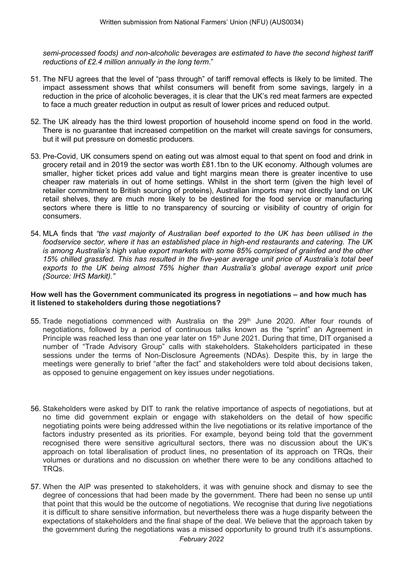*semi-processed foods) and non-alcoholic beverages are estimated to have the second highest tariff reductions of £2.4 million annually in the long term*."

- 51. The NFU agrees that the level of "pass through" of tariff removal effects is likely to be limited. The impact assessment shows that whilst consumers will benefit from some savings, largely in a reduction in the price of alcoholic beverages, it is clear that the UK's red meat farmers are expected to face a much greater reduction in output as result of lower prices and reduced output.
- 52. The UK already has the third lowest proportion of household income spend on food in the world. There is no guarantee that increased competition on the market will create savings for consumers, but it will put pressure on domestic producers.
- 53. Pre-Covid, UK consumers spend on eating out was almost equal to that spent on food and drink in grocery retail and in 2019 the sector was worth £81.1bn to the UK economy. Although volumes are smaller, higher ticket prices add value and tight margins mean there is greater incentive to use cheaper raw materials in out of home settings. Whilst in the short term (given the high level of retailer commitment to British sourcing of proteins), Australian imports may not directly land on UK retail shelves, they are much more likely to be destined for the food service or manufacturing sectors where there is little to no transparency of sourcing or visibility of country of origin for consumers.
- 54. MLA finds that *"the vast majority of Australian beef exported to the UK has been utilised in the foodservice sector, where it has an established place in high-end restaurants and catering. The UK is among Australia's high value export markets with some 85% comprised of grainfed and the other 15% chilled grassfed. This has resulted in the five-year average unit price of Australia's total beef exports to the UK being almost 75% higher than Australia's global average export unit price (Source: IHS Markit)."*

#### **How well has the Government communicated its progress in negotiations – and how much has it listened to stakeholders during those negotiations?**

- 55. Trade negotiations commenced with Australia on the 29<sup>th</sup> June 2020. After four rounds of negotiations, followed by a period of continuous talks known as the "sprint" an Agreement in Principle was reached less than one year later on 15<sup>th</sup> June 2021. During that time, DIT organised a number of "Trade Advisory Group" calls with stakeholders. Stakeholders participated in these sessions under the terms of Non-Disclosure Agreements (NDAs). Despite this, by in large the meetings were generally to brief "after the fact" and stakeholders were told about decisions taken, as opposed to genuine engagement on key issues under negotiations.
- 56. Stakeholders were asked by DIT to rank the relative importance of aspects of negotiations, but at no time did government explain or engage with stakeholders on the detail of how specific negotiating points were being addressed within the live negotiations or its relative importance of the factors industry presented as its priorities. For example, beyond being told that the government recognised there were sensitive agricultural sectors, there was no discussion about the UK's approach on total liberalisation of product lines, no presentation of its approach on TRQs, their volumes or durations and no discussion on whether there were to be any conditions attached to TRQs.
- 57. When the AIP was presented to stakeholders, it was with genuine shock and dismay to see the degree of concessions that had been made by the government. There had been no sense up until that point that this would be the outcome of negotiations. We recognise that during live negotiations it is difficult to share sensitive information, but nevertheless there was a huge disparity between the expectations of stakeholders and the final shape of the deal. We believe that the approach taken by the government during the negotiations was a missed opportunity to ground truth it's assumptions.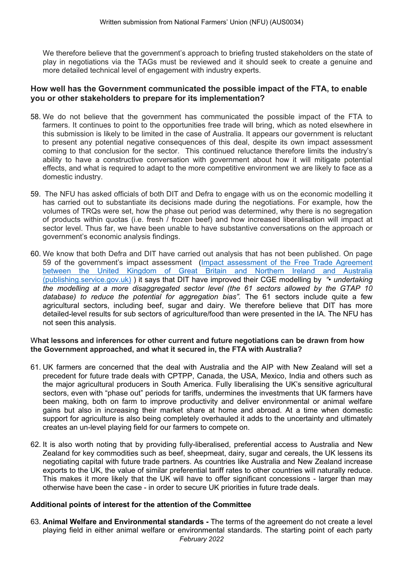We therefore believe that the government's approach to briefing trusted stakeholders on the state of play in negotiations via the TAGs must be reviewed and it should seek to create a genuine and more detailed technical level of engagement with industry experts.

## **How well has the Government communicated the possible impact of the FTA, to enable you or other stakeholders to prepare for its implementation?**

- 58. We do not believe that the government has communicated the possible impact of the FTA to farmers. It continues to point to the opportunities free trade will bring, which as noted elsewhere in this submission is likely to be limited in the case of Australia. It appears our government is reluctant to present any potential negative consequences of this deal, despite its own impact assessment coming to that conclusion for the sector. This continued reluctance therefore limits the industry's ability to have a constructive conversation with government about how it will mitigate potential effects, and what is required to adapt to the more competitive environment we are likely to face as a domestic industry.
- 59. The NFU has asked officials of both DIT and Defra to engage with us on the economic modelling it has carried out to substantiate its decisions made during the negotiations. For example, how the volumes of TRQs were set, how the phase out period was determined, why there is no segregation of products within quotas (i.e. fresh / frozen beef) and how increased liberalisation will impact at sector level. Thus far, we have been unable to have substantive conversations on the approach or government's economic analysis findings.
- 60. We know that both Defra and DIT have carried out analysis that has not been published. On page 59 of the government's impact assessment ([Impact](https://protect-eu.mimecast.com/s/wshEC74ZsmnRqqfWicC-?domain=assets.publishing.service.gov.uk) [assessment](https://protect-eu.mimecast.com/s/wshEC74ZsmnRqqfWicC-?domain=assets.publishing.service.gov.uk) [of](https://protect-eu.mimecast.com/s/wshEC74ZsmnRqqfWicC-?domain=assets.publishing.service.gov.uk) [the](https://protect-eu.mimecast.com/s/wshEC74ZsmnRqqfWicC-?domain=assets.publishing.service.gov.uk) [Free](https://protect-eu.mimecast.com/s/wshEC74ZsmnRqqfWicC-?domain=assets.publishing.service.gov.uk) [Trade](https://protect-eu.mimecast.com/s/wshEC74ZsmnRqqfWicC-?domain=assets.publishing.service.gov.uk) [Agreement](https://protect-eu.mimecast.com/s/wshEC74ZsmnRqqfWicC-?domain=assets.publishing.service.gov.uk) [between](https://protect-eu.mimecast.com/s/wshEC74ZsmnRqqfWicC-?domain=assets.publishing.service.gov.uk) [the](https://protect-eu.mimecast.com/s/wshEC74ZsmnRqqfWicC-?domain=assets.publishing.service.gov.uk) [United](https://protect-eu.mimecast.com/s/wshEC74ZsmnRqqfWicC-?domain=assets.publishing.service.gov.uk) [Kingdom](https://protect-eu.mimecast.com/s/wshEC74ZsmnRqqfWicC-?domain=assets.publishing.service.gov.uk) [of](https://protect-eu.mimecast.com/s/wshEC74ZsmnRqqfWicC-?domain=assets.publishing.service.gov.uk) [Great](https://protect-eu.mimecast.com/s/wshEC74ZsmnRqqfWicC-?domain=assets.publishing.service.gov.uk) [Britain](https://protect-eu.mimecast.com/s/wshEC74ZsmnRqqfWicC-?domain=assets.publishing.service.gov.uk) [and](https://protect-eu.mimecast.com/s/wshEC74ZsmnRqqfWicC-?domain=assets.publishing.service.gov.uk) [Northern](https://protect-eu.mimecast.com/s/wshEC74ZsmnRqqfWicC-?domain=assets.publishing.service.gov.uk) [Ireland](https://protect-eu.mimecast.com/s/wshEC74ZsmnRqqfWicC-?domain=assets.publishing.service.gov.uk) [and](https://protect-eu.mimecast.com/s/wshEC74ZsmnRqqfWicC-?domain=assets.publishing.service.gov.uk) [Australia](https://protect-eu.mimecast.com/s/wshEC74ZsmnRqqfWicC-?domain=assets.publishing.service.gov.uk) [\(publishing.service.gov.uk\)](https://protect-eu.mimecast.com/s/wshEC74ZsmnRqqfWicC-?domain=assets.publishing.service.gov.uk) ) it says that DIT have improved their CGE modelling by *"• undertaking the modelling at a more disaggregated sector level (the 61 sectors allowed by the GTAP 10 database) to reduce the potential for aggregation bias".* The 61 sectors include quite a few agricultural sectors, including beef, sugar and dairy. We therefore believe that DIT has more detailed-level results for sub sectors of agriculture/food than were presented in the IA. The NFU has not seen this analysis.

#### W**hat lessons and inferences for other current and future negotiations can be drawn from how the Government approached, and what it secured in, the FTA with Australia?**

- 61. UK farmers are concerned that the deal with Australia and the AIP with New Zealand will set a precedent for future trade deals with CPTPP, Canada, the USA, Mexico, India and others such as the major agricultural producers in South America. Fully liberalising the UK's sensitive agricultural sectors, even with "phase out" periods for tariffs, undermines the investments that UK farmers have been making, both on farm to improve productivity and deliver environmental or animal welfare gains but also in increasing their market share at home and abroad. At a time when domestic support for agriculture is also being completely overhauled it adds to the uncertainty and ultimately creates an un-level playing field for our farmers to compete on.
- 62. It is also worth noting that by providing fully-liberalised, preferential access to Australia and New Zealand for key commodities such as beef, sheepmeat, dairy, sugar and cereals, the UK lessens its negotiating capital with future trade partners. As countries like Australia and New Zealand increase exports to the UK, the value of similar preferential tariff rates to other countries will naturally reduce. This makes it more likely that the UK will have to offer significant concessions - larger than may otherwise have been the case - in order to secure UK priorities in future trade deals.

# **Additional points of interest for the attention of the Committee**

*February 2022* 63. **Animal Welfare and Environmental standards -** The terms of the agreement do not create a level playing field in either animal welfare or environmental standards. The starting point of each party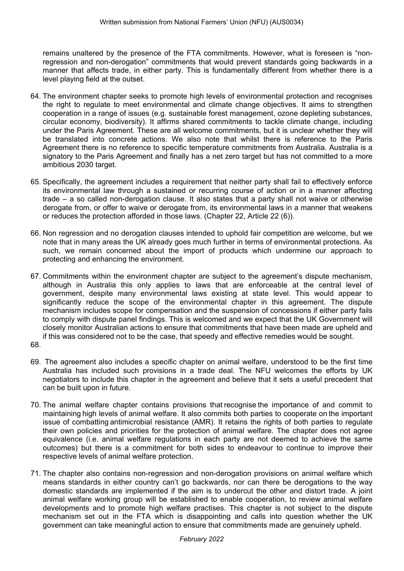remains unaltered by the presence of the FTA commitments. However, what is foreseen is "nonregression and non-derogation" commitments that would prevent standards going backwards in a manner that affects trade, in either party. This is fundamentally different from whether there is a level playing field at the outset.

- 64. The environment chapter seeks to promote high levels of environmental protection and recognises the right to regulate to meet environmental and climate change objectives. It aims to strengthen cooperation in a range of issues (e.g. sustainable forest management, ozone depleting substances, circular economy, biodiversity). It affirms shared commitments to tackle climate change, including under the Paris Agreement. These are all welcome commitments, but it is unclear whether they will be translated into concrete actions. We also note that whilst there is reference to the Paris Agreement there is no reference to specific temperature commitments from Australia. Australia is a signatory to the Paris Agreement and finally has a net zero target but has not committed to a more ambitious 2030 target.
- 65. Specifically, the agreement includes a requirement that neither party shall fail to effectively enforce its environmental law through a sustained or recurring course of action or in a manner affecting trade – a so called non-derogation clause. It also states that a party shall not waive or otherwise derogate from, or offer to waive or derogate from, its environmental laws in a manner that weakens or reduces the protection afforded in those laws. (Chapter 22, Article 22 (6)).
- 66. Non regression and no derogation clauses intended to uphold fair competition are welcome, but we note that in many areas the UK already goes much further in terms of environmental protections. As such, we remain concerned about the import of products which undermine our approach to protecting and enhancing the environment.
- 67. Commitments within the environment chapter are subject to the agreement's dispute mechanism, although in Australia this only applies to laws that are enforceable at the central level of government, despite many environmental laws existing at state level. This would appear to significantly reduce the scope of the environmental chapter in this agreement. The dispute mechanism includes scope for compensation and the suspension of concessions if either party fails to comply with dispute panel findings. This is welcomed and we expect that the UK Government will closely monitor Australian actions to ensure that commitments that have been made are upheld and if this was considered not to be the case, that speedy and effective remedies would be sought.
- 68.
- 69. The agreement also includes a specific chapter on animal welfare, understood to be the first time Australia has included such provisions in a trade deal. The NFU welcomes the efforts by UK negotiators to include this chapter in the agreement and believe that it sets a useful precedent that can be built upon in future.
- 70. The animal welfare chapter contains provisions that recognise the importance of and commit to maintaining high levels of animal welfare. It also commits both parties to cooperate on the important issue of combatting antimicrobial resistance (AMR). It retains the rights of both parties to regulate their own policies and priorities for the protection of animal welfare. The chapter does not agree equivalence (i.e. animal welfare regulations in each party are not deemed to achieve the same outcomes) but there is a commitment for both sides to endeavour to continue to improve their respective levels of animal welfare protection.
- 71. The chapter also contains non-regression and non-derogation provisions on animal welfare which means standards in either country can't go backwards, nor can there be derogations to the way domestic standards are implemented if the aim is to undercut the other and distort trade. A joint animal welfare working group will be established to enable cooperation, to review animal welfare developments and to promote high welfare practises. This chapter is not subject to the dispute mechanism set out in the FTA which is disappointing and calls into question whether the UK government can take meaningful action to ensure that commitments made are genuinely upheld.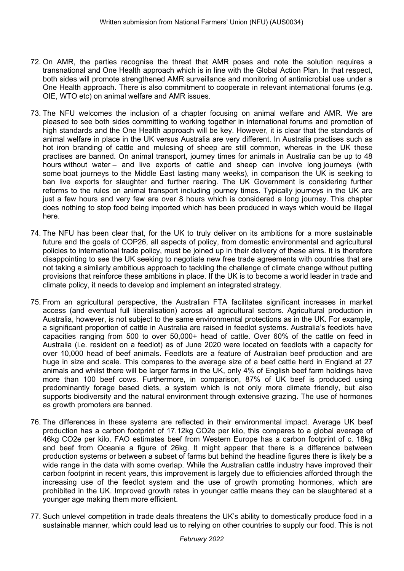- 72. On AMR, the parties recognise the threat that AMR poses and note the solution requires a transnational and One Health approach which is in line with the Global Action Plan. In that respect, both sides will promote strengthened AMR surveillance and monitoring of antimicrobial use under a One Health approach. There is also commitment to cooperate in relevant international forums (e.g. OIE, WTO etc) on animal welfare and AMR issues.
- 73. The NFU welcomes the inclusion of a chapter focusing on animal welfare and AMR. We are pleased to see both sides committing to working together in international forums and promotion of high standards and the One Health approach will be key. However, it is clear that the standards of animal welfare in place in the UK versus Australia are very different. In Australia practises such as hot iron branding of cattle and mulesing of sheep are still common, whereas in the UK these practises are banned. On animal transport, journey times for animals in Australia can be up to 48 hours without water – and live exports of cattle and sheep can involve long journeys (with some boat journeys to the Middle East lasting many weeks), in comparison the UK is seeking to ban live exports for slaughter and further rearing. The UK Government is considering further reforms to the rules on animal transport including journey times. Typically journeys in the UK are just a few hours and very few are over 8 hours which is considered a long journey. This chapter does nothing to stop food being imported which has been produced in ways which would be illegal here.
- 74. The NFU has been clear that, for the UK to truly deliver on its ambitions for a more sustainable future and the goals of COP26, all aspects of policy, from domestic environmental and agricultural policies to international trade policy, must be joined up in their delivery of these aims. It is therefore disappointing to see the UK seeking to negotiate new free trade agreements with countries that are not taking a similarly ambitious approach to tackling the challenge of climate change without putting provisions that reinforce these ambitions in place. If the UK is to become a world leader in trade and climate policy, it needs to develop and implement an integrated strategy.
- 75. From an agricultural perspective, the Australian FTA facilitates significant increases in market access (and eventual full liberalisation) across all agricultural sectors. Agricultural production in Australia, however, is not subject to the same environmental protections as in the UK. For example, a significant proportion of cattle in Australia are raised in feedlot systems. Australia's feedlots have capacities ranging from 500 to over 50,000+ head of cattle. Over 60% of the cattle on feed in Australia (i.e. resident on a feedlot) as of June 2020 were located on feedlots with a capacity for over 10,000 head of beef animals. Feedlots are a feature of Australian beef production and are huge in size and scale. This compares to the average size of a beef cattle herd in England at 27 animals and whilst there will be larger farms in the UK, only 4% of English beef farm holdings have more than 100 beef cows. Furthermore, in comparison, 87% of UK beef is produced using predominantly forage based diets, a system which is not only more climate friendly, but also supports biodiversity and the natural environment through extensive grazing. The use of hormones as growth promoters are banned.
- 76. The differences in these systems are reflected in their environmental impact. Average UK beef production has a carbon footprint of 17.12kg CO2e per kilo, this compares to a global average of 46kg CO2e per kilo. FAO estimates beef from Western Europe has a carbon footprint of c. 18kg and beef from Oceania a figure of 26kg. It might appear that there is a difference between production systems or between a subset of farms but behind the headline figures there is likely be a wide range in the data with some overlap. While the Australian cattle industry have improved their carbon footprint in recent years, this improvement is largely due to efficiencies afforded through the increasing use of the feedlot system and the use of growth promoting hormones, which are prohibited in the UK. Improved growth rates in younger cattle means they can be slaughtered at a younger age making them more efficient.
- 77. Such unlevel competition in trade deals threatens the UK's ability to domestically produce food in a sustainable manner, which could lead us to relying on other countries to supply our food. This is not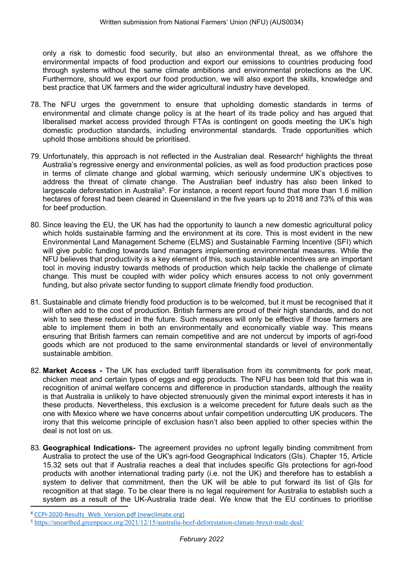only a risk to domestic food security, but also an environmental threat, as we offshore the environmental impacts of food production and export our emissions to countries producing food through systems without the same climate ambitions and environmental protections as the UK. Furthermore, should we export our food production, we will also export the skills, knowledge and best practice that UK farmers and the wider agricultural industry have developed.

- 78. The NFU urges the government to ensure that upholding domestic standards in terms of environmental and climate change policy is at the heart of its trade policy and has argued that liberalised market access provided through FTAs is contingent on goods meeting the UK's high domestic production standards, including environmental standards. Trade opportunities which uphold those ambitions should be prioritised.
- 79. Unfortunately, this approach is not reflected in the Australian deal. Research<sup>4</sup> highlights the threat Australia's regressive energy and environmental policies, as well as food production practices pose in terms of climate change and global warming, which seriously undermine UK's objectives to address the threat of climate change. The Australian beef industry has also been linked to largescale deforestation in Australia<sup>5</sup>. For instance, a recent report found that more than 1.6 million hectares of forest had been cleared in Queensland in the five years up to 2018 and 73% of this was for beef production.
- 80. Since leaving the EU, the UK has had the opportunity to launch a new domestic agricultural policy which holds sustainable farming and the environment at its core. This is most evident in the new Environmental Land Management Scheme (ELMS) and Sustainable Farming Incentive (SFI) which will give public funding towards land managers implementing environmental measures. While the NFU believes that productivity is a key element of this, such sustainable incentives are an important tool in moving industry towards methods of production which help tackle the challenge of climate change. This must be coupled with wider policy which ensures access to not only government funding, but also private sector funding to support climate friendly food production.
- 81. Sustainable and climate friendly food production is to be welcomed, but it must be recognised that it will often add to the cost of production. British farmers are proud of their high standards, and do not wish to see these reduced in the future. Such measures will only be effective if those farmers are able to implement them in both an environmentally and economically viable way. This means ensuring that British farmers can remain competitive and are not undercut by imports of agri-food goods which are not produced to the same environmental standards or level of environmentally sustainable ambition.
- 82. **Market Access -** The UK has excluded tariff liberalisation from its commitments for pork meat, chicken meat and certain types of eggs and egg products. The NFU has been told that this was in recognition of animal welfare concerns and difference in production standards, although the reality is that Australia is unlikely to have objected strenuously given the minimal export interests it has in these products. Nevertheless, this exclusion is a welcome precedent for future deals such as the one with Mexico where we have concerns about unfair competition undercutting UK producers. The irony that this welcome principle of exclusion hasn't also been applied to other species within the deal is not lost on us.
- 83. **Geographical Indications-** The agreement provides no upfront legally binding commitment from Australia to protect the use of the UK's agri-food Geographical Indicators (GIs). Chapter 15, Article 15.32 sets out that if Australia reaches a deal that includes specific GIs protections for agri-food products with another international trading party (i.e. not the UK) and therefore has to establish a system to deliver that commitment, then the UK will be able to put forward its list of GIs for recognition at that stage. To be clear there is no legal requirement for Australia to establish such a system as a result of the UK-Australia trade deal. We know that the EU continues to prioritise

<sup>4</sup> CCPI-2020-Results Web Version.pdf [\(newclimate.org\)](https://newclimate.org/wp-content/uploads/2019/12/CCPI-2020-Results_Web_Version.pdf)

<sup>5</sup> <https://unearthed.greenpeace.org/2021/12/15/australia-beef-deforestation-climate-brexit-trade-deal/>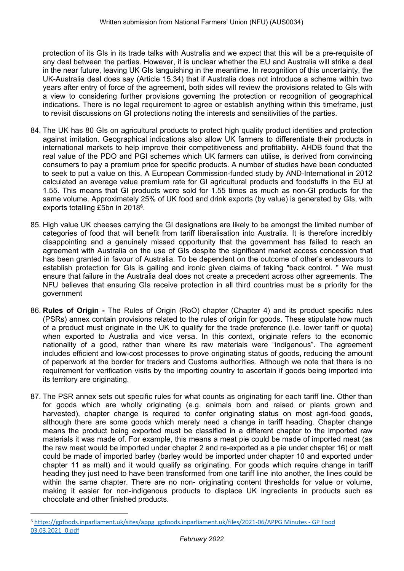protection of its GIs in its trade talks with Australia and we expect that this will be a pre-requisite of any deal between the parties. However, it is unclear whether the EU and Australia will strike a deal in the near future, leaving UK GIs languishing in the meantime. In recognition of this uncertainty, the UK-Australia deal does say (Article 15.34) that if Australia does not introduce a scheme within two years after entry of force of the agreement, both sides will review the provisions related to GIs with a view to considering further provisions governing the protection or recognition of geographical indications. There is no legal requirement to agree or establish anything within this timeframe, just to revisit discussions on GI protections noting the interests and sensitivities of the parties.

- 84. The UK has 80 GIs on agricultural products to protect high quality product identities and protection against imitation. Geographical indications also allow UK farmers to differentiate their products in international markets to help improve their competitiveness and profitability. AHDB found that the real value of the PDO and PGI schemes which UK farmers can utilise, is derived from convincing consumers to pay a premium price for specific products. A number of studies have been conducted to seek to put a value on this. A European Commission-funded study by AND-International in 2012 calculated an average value premium rate for GI agricultural products and foodstuffs in the EU at 1.55. This means that GI products were sold for 1.55 times as much as non-GI products for the same volume. Approximately 25% of UK food and drink exports (by value) is generated by GIs, with exports totalling £5bn in 2018<sup>6</sup>.
- 85. High value UK cheeses carrying the GI designations are likely to be amongst the limited number of categories of food that will benefit from tariff liberalisation into Australia. It is therefore incredibly disappointing and a genuinely missed opportunity that the government has failed to reach an agreement with Australia on the use of GIs despite the significant market access concession that has been granted in favour of Australia. To be dependent on the outcome of other's endeavours to establish protection for GIs is galling and ironic given claims of taking "back control. " We must ensure that failure in the Australia deal does not create a precedent across other agreements. The NFU believes that ensuring GIs receive protection in all third countries must be a priority for the government
- 86. **Rules of Origin -** The Rules of Origin (RoO) chapter (Chapter 4) and its product specific rules (PSRs) annex contain provisions related to the rules of origin for goods. These stipulate how much of a product must originate in the UK to qualify for the trade preference (i.e. lower tariff or quota) when exported to Australia and vice versa. In this context, originate refers to the economic nationality of a good, rather than where its raw materials were "indigenous". The agreement includes efficient and low-cost processes to prove originating status of goods, reducing the amount of paperwork at the border for traders and Customs authorities. Although we note that there is no requirement for verification visits by the importing country to ascertain if goods being imported into its territory are originating.
- 87. The PSR annex sets out specific rules for what counts as originating for each tariff line. Other than for goods which are wholly originating (e.g. animals born and raised or plants grown and harvested), chapter change is required to confer originating status on most agri-food goods, although there are some goods which merely need a change in tariff heading. Chapter change means the product being exported must be classified in a different chapter to the imported raw materials it was made of. For example, this means a meat pie could be made of imported meat (as the raw meat would be imported under chapter 2 and re-exported as a pie under chapter 16) or malt could be made of imported barley (barley would be imported under chapter 10 and exported under chapter 11 as malt) and it would qualify as originating. For goods which require change in tariff heading they just need to have been transformed from one tariff line into another, the lines could be within the same chapter. There are no non- originating content thresholds for value or volume, making it easier for non-indigenous products to displace UK ingredients in products such as chocolate and other finished products.

<sup>6</sup> [https://gpfoods.inparliament.uk/sites/appg\\_gpfoods.inparliament.uk/files/2021-06/APPG](https://gpfoods.inparliament.uk/sites/appg_gpfoods.inparliament.uk/files/2021-06/APPG%20Minutes%20-%20GP%20Food%2003.03.2021_0.pdf) [Minutes](https://gpfoods.inparliament.uk/sites/appg_gpfoods.inparliament.uk/files/2021-06/APPG%20Minutes%20-%20GP%20Food%2003.03.2021_0.pdf) [-](https://gpfoods.inparliament.uk/sites/appg_gpfoods.inparliament.uk/files/2021-06/APPG%20Minutes%20-%20GP%20Food%2003.03.2021_0.pdf) [GP](https://gpfoods.inparliament.uk/sites/appg_gpfoods.inparliament.uk/files/2021-06/APPG%20Minutes%20-%20GP%20Food%2003.03.2021_0.pdf) [Food](https://gpfoods.inparliament.uk/sites/appg_gpfoods.inparliament.uk/files/2021-06/APPG%20Minutes%20-%20GP%20Food%2003.03.2021_0.pdf) [03.03.2021\\_0.pdf](https://gpfoods.inparliament.uk/sites/appg_gpfoods.inparliament.uk/files/2021-06/APPG%20Minutes%20-%20GP%20Food%2003.03.2021_0.pdf)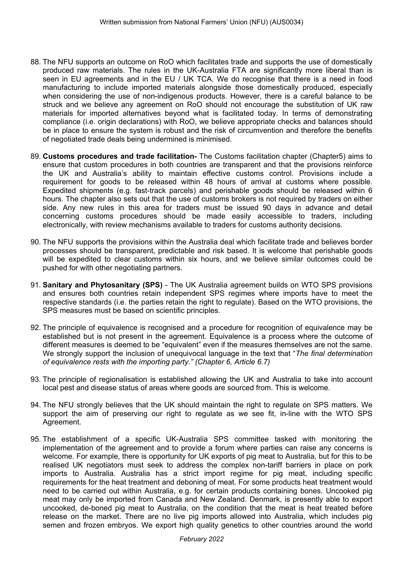- 88. The NFU supports an outcome on RoO which facilitates trade and supports the use of domestically produced raw materials. The rules in the UK-Australia FTA are significantly more liberal than is seen in EU agreements and in the EU / UK TCA. We do recognise that there is a need in food manufacturing to include imported materials alongside those domestically produced, especially when considering the use of non-indigenous products. However, there is a careful balance to be struck and we believe any agreement on RoO should not encourage the substitution of UK raw materials for imported alternatives beyond what is facilitated today. In terms of demonstrating compliance (i.e. origin declarations) with RoO, we believe appropriate checks and balances should be in place to ensure the system is robust and the risk of circumvention and therefore the benefits of negotiated trade deals being undermined is minimised.
- 89. **Customs procedures and trade facilitation-** The Customs facilitation chapter (Chapter5) aims to ensure that custom procedures in both countries are transparent and that the provisions reinforce the UK and Australia's ability to maintain effective customs control. Provisions include a requirement for goods to be released within 48 hours of arrival at customs where possible. Expedited shipments (e.g. fast-track parcels) and perishable goods should be released within 6 hours. The chapter also sets out that the use of customs brokers is not required by traders on either side. Any new rules in this area for traders must be issued 90 days in advance and detail concerning customs procedures should be made easily accessible to traders, including electronically, with review mechanisms available to traders for customs authority decisions.
- 90. The NFU supports the provisions within the Australia deal which facilitate trade and believes border processes should be transparent, predictable and risk based. It is welcome that perishable goods will be expedited to clear customs within six hours, and we believe similar outcomes could be pushed for with other negotiating partners.
- 91. **Sanitary and Phytosanitary (SPS)** The UK Australia agreement builds on WTO SPS provisions and ensures both countries retain independent SPS regimes where imports have to meet the respective standards (i.e. the parties retain the right to regulate). Based on the WTO provisions, the SPS measures must be based on scientific principles.
- 92. The principle of equivalence is recognised and a procedure for recognition of equivalence may be established but is not present in the agreement. Equivalence is a process where the outcome of different measures is deemed to be "equivalent" even if the measures themselves are not the same. We strongly support the inclusion of unequivocal language in the text that "*The final determination of equivalence rests with the importing party." (Chapter 6, Article 6.7)*
- 93. The principle of regionalisation is established allowing the UK and Australia to take into account local pest and disease status of areas where goods are sourced from. This is welcome.
- 94. The NFU strongly believes that the UK should maintain the right to regulate on SPS matters. We support the aim of preserving our right to regulate as we see fit, in-line with the WTO SPS Agreement.
- 95. The establishment of a specific UK-Australia SPS committee tasked with monitoring the implementation of the agreement and to provide a forum where parties can raise any concerns is welcome. For example, there is opportunity for UK exports of pig meat to Australia, but for this to be realised UK negotiators must seek to address the complex non-tariff barriers in place on pork imports to Australia. Australia has a strict import regime for pig meat, including specific requirements for the heat treatment and deboning of meat. For some products heat treatment would need to be carried out within Australia, e.g. for certain products containing bones. Uncooked pig meat may only be imported from Canada and New Zealand. Denmark, is presently able to export uncooked, de-boned pig meat to Australia, on the condition that the meat is heat treated before release on the market. There are no live pig imports allowed into Australia, which includes pig semen and frozen embryos. We export high quality genetics to other countries around the world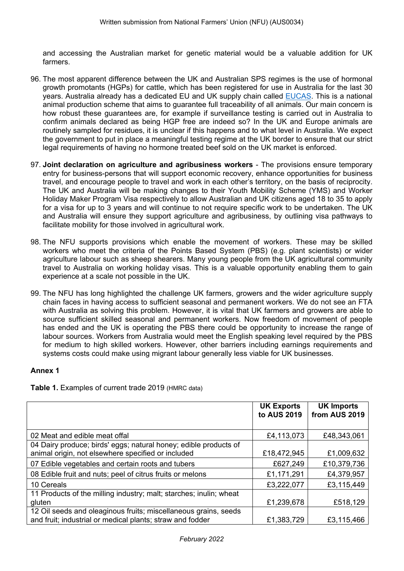and accessing the Australian market for genetic material would be a valuable addition for UK farmers.

- 96. The most apparent difference between the UK and Australian SPS regimes is the use of hormonal growth promotants (HGPs) for cattle, which has been registered for use in Australia for the last 30 years. Australia already has a dedicated EU and UK supply chain called [EUCAS.](https://www.agriculture.gov.au/export/controlled-goods/meat/elmer-3/eucas) This is a national animal production scheme that aims to guarantee full traceability of all animals. Our main concern is how robust these guarantees are, for example if surveillance testing is carried out in Australia to confirm animals declared as being HGP free are indeed so? In the UK and Europe animals are routinely sampled for residues, it is unclear if this happens and to what level in Australia. We expect the government to put in place a meaningful testing regime at the UK border to ensure that our strict legal requirements of having no hormone treated beef sold on the UK market is enforced.
- 97. **Joint declaration on agriculture and agribusiness workers** The provisions ensure temporary entry for business-persons that will support economic recovery, enhance opportunities for business travel, and encourage people to travel and work in each other's territory, on the basis of reciprocity. The UK and Australia will be making changes to their Youth Mobility Scheme (YMS) and Worker Holiday Maker Program Visa respectively to allow Australian and UK citizens aged 18 to 35 to apply for a visa for up to 3 years and will continue to not require specific work to be undertaken. The UK and Australia will ensure they support agriculture and agribusiness, by outlining visa pathways to facilitate mobility for those involved in agricultural work.
- 98. The NFU supports provisions which enable the movement of workers. These may be skilled workers who meet the criteria of the Points Based System (PBS) (e.g. plant scientists) or wider agriculture labour such as sheep shearers. Many young people from the UK agricultural community travel to Australia on working holiday visas. This is a valuable opportunity enabling them to gain experience at a scale not possible in the UK.
- 99. The NFU has long highlighted the challenge UK farmers, growers and the wider agriculture supply chain faces in having access to sufficient seasonal and permanent workers. We do not see an FTA with Australia as solving this problem. However, it is vital that UK farmers and growers are able to source sufficient skilled seasonal and permanent workers. Now freedom of movement of people has ended and the UK is operating the PBS there could be opportunity to increase the range of labour sources. Workers from Australia would meet the English speaking level required by the PBS for medium to high skilled workers. However, other barriers including earnings requirements and systems costs could make using migrant labour generally less viable for UK businesses.

# **Annex 1**

|  |  | Table 1. Examples of current trade 2019 (HMRC data) |
|--|--|-----------------------------------------------------|
|  |  |                                                     |

|                                                                    | <b>UK Exports</b><br>to AUS 2019 | <b>UK Imports</b><br>from AUS 2019 |
|--------------------------------------------------------------------|----------------------------------|------------------------------------|
|                                                                    |                                  |                                    |
| 02 Meat and edible meat offal                                      | £4,113,073                       | £48,343,061                        |
| 04 Dairy produce; birds' eggs; natural honey; edible products of   |                                  |                                    |
| animal origin, not elsewhere specified or included                 | £18,472,945                      | £1,009,632                         |
| 07 Edible vegetables and certain roots and tubers                  | £627,249                         | £10,379,736                        |
| 08 Edible fruit and nuts; peel of citrus fruits or melons          | £1,171,291                       | £4,379,957                         |
| 10 Cereals                                                         | £3,222,077                       | £3,115,449                         |
| 11 Products of the milling industry; malt; starches; inulin; wheat |                                  |                                    |
| gluten                                                             | £1,239,678                       | £518,129                           |
| 12 Oil seeds and oleaginous fruits; miscellaneous grains, seeds    |                                  |                                    |
| and fruit; industrial or medical plants; straw and fodder          | £1,383,729                       | £3,115,466                         |